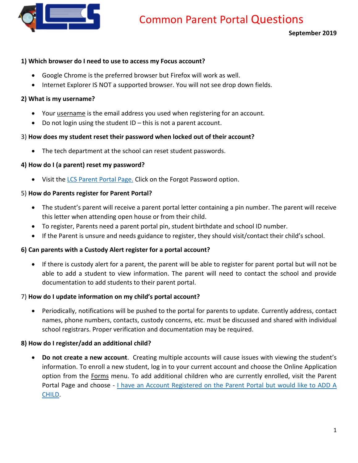

#### **September 2019**

#### **1) Which browser do I need to use to access my Focus account?**

- Google Chrome is the preferred browser but Firefox will work as well.
- Internet Explorer IS NOT a supported browser. You will not see drop down fields.

### **2) What is my username?**

- Your username is the email address you used when registering for an account.
- $\bullet$  Do not login using the student ID this is not a parent account.

### 3) **How does my student reset their password when locked out of their account?**

The tech department at the school can reset student passwords.

### **4) How do I (a parent) reset my password?**

• Visit th[e LCS Parent Portal Page.](https://www.leonschools.net/parentportal) Click on the Forgot Password option.

### 5) **How do Parents register for Parent Portal?**

- The student's parent will receive a parent portal letter containing a pin number. The parent will receive this letter when attending open house or from their child.
- To register, Parents need a parent portal pin, student birthdate and school ID number.
- If the Parent is unsure and needs guidance to register, they should visit/contact their child's school.

### **6) Can parents with a Custody Alert register for a portal account?**

 If there is custody alert for a parent, the parent will be able to register for parent portal but will not be able to add a student to view information. The parent will need to contact the school and provide documentation to add students to their parent portal.

### 7) **How do I update information on my child's portal account?**

 Periodically, notifications will be pushed to the portal for parents to update. Currently address, contact names, phone numbers, contacts, custody concerns, etc. must be discussed and shared with individual school registrars. Proper verification and documentation may be required.

### **8) How do I register/add an additional child?**

 **Do not create a new account**. Creating multiple accounts will cause issues with viewing the student's information. To enroll a new student, log in to your current account and choose the Online Application option from the Forms menu. To add additional children who are currently enrolled, visit the Parent Portal Page and choose - I have an Account Registered on the Parent Portal but would like to ADD A [CHILD.](https://leon.focusschoolsoftware.com/focus/auth/index.php?action=login&locale=en_US&online_app=N)